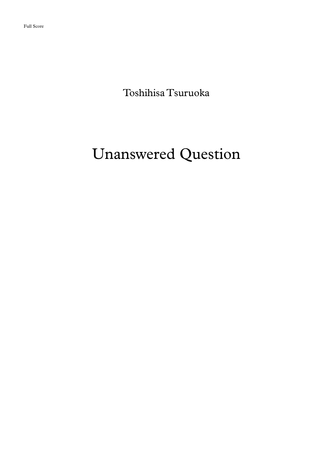Toshihisa Tsuruoka

# Unanswered Question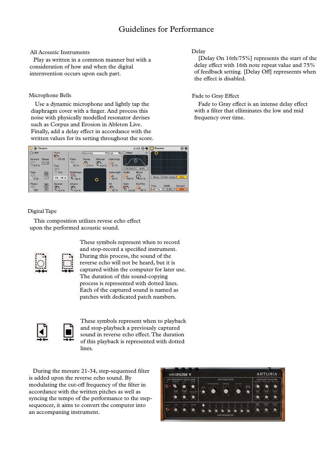## All Acoustic Instruments

Play as written in a common manner but with a consideration of how and when the digital internvention occurs upon each part.

# Microphone Bells

Use a dynamic microphone and lightly tap the diaphragm cover with a finger. And process this noise with physically modelled resonator devises such as Corpus and Erosion in Ableton Live. Finally, add a delay effect in accordance with the written values for its setting throughout the score.



# Digital Tape

This composition utilizes revese echo effect upon the performed acoustic sound.



These symbols represent when to record and stop-record a specified instrument. During this process, the sound of the reverse echo will not be heard, but it is captured within the computer for later use. The duration of this sound-copying process is represented with dotted lines. Each of the captured sound is named as patches with dedicated patch numbers.



These symbols represent when to playback and stop-playback a previously captured sound in reverse echo effect.The duration of this playback is represented with dotted lines.

During the mesure 21-34, step-sequensed filter is added upon the reverse echo sound. By modulating the cut-off frequency of the filter in accordance with the written pitches as well as syncing the tempo of the performance to the step sequencer, it aims to convert the computer into an accompaning instrument.



## Delay

[Delay On 16th/75%] represents the start of the delay effect with 16th note repeat value and 75% of feedback setting. [Delay Off] represeents when the effect is disabled.

Fade to Gray Effect

Fade to Gray effect is an intense delay effect with a filter that elliminates the low and mid frequency over time.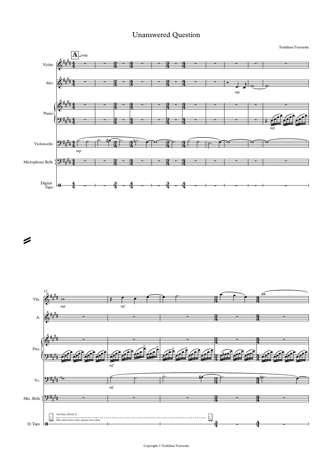Toshihisa Tsuruoka



=

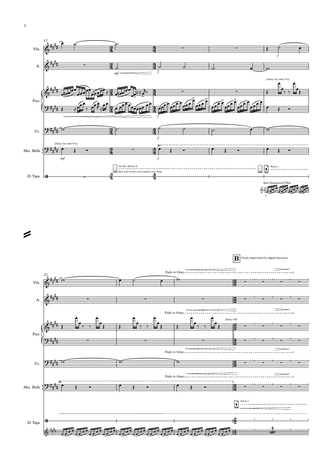



3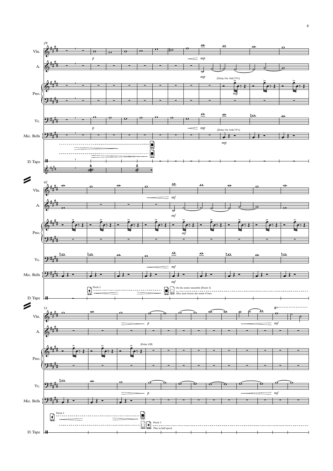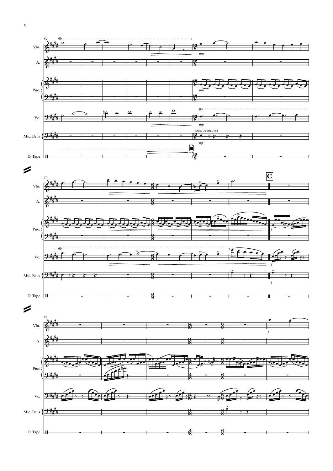

5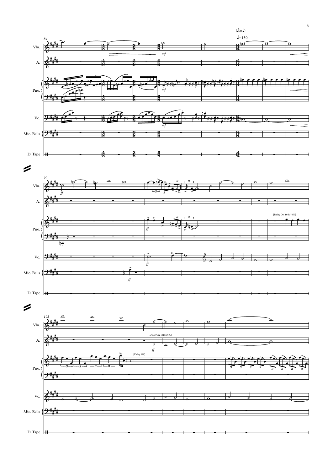